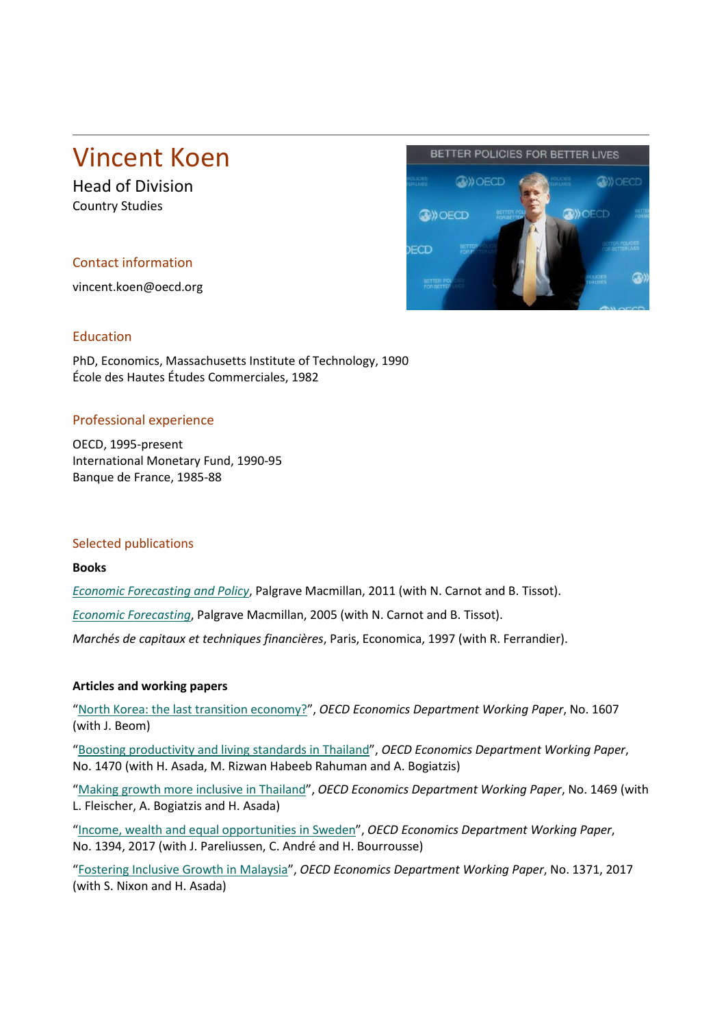# Vincent Koen

Head of Division Country Studies

## Contact information

vincent.koen@oecd.org



#### Education

PhD, Economics, Massachusetts Institute of Technology, 1990 École des Hautes Études Commerciales, 1982

## Professional experience

OECD, 1995-present International Monetary Fund, 1990-95 Banque de France, 1985-88

#### Selected publications

#### **Books**

*[Economic Forecasting and Policy](http://us.macmillan.com/economicforecastingandpolicy/NicolasCarnot)*, Palgrave Macmillan, 2011 (with N. Carnot and B. Tissot).

*[Economic Forecasting](http://us.macmillan.com/economicforecasting/NicholasCarnot)*, Palgrave Macmillan, 2005 (with N. Carnot and B. Tissot).

*Marchés de capitaux et techniques financières*, Paris, Economica, 1997 (with R. Ferrandier).

## **Articles and working papers**

["North Korea: the last transition economy?"](https://www.oecd-ilibrary.org/economics/north-korea-the-last-transition-economy_82dee315-en), *OECD Economics Department Working Paper*, No. 1607 (with J. Beom)

["Boosting productivity and living standards in Thailand"](http://dx.doi.org/10.1787/e525c875-en), *OECD Economics Department Working Paper*, No. 1470 (with H. Asada, M. Rizwan Habeeb Rahuman and A. Bogiatzis)

["Making growth more inclusive in Thailand"](http://dx.doi.org/10.1787/263a78df-en), *OECD Economics Department Working Paper*, No. 1469 (with L. Fleischer, A. Bogiatzis and H. Asada)

["Income, wealth and equal opportunities in Sweden"](http://www.oecd-ilibrary.org/economics/income-wealth-and-equal-opportunities-in-sweden_e900be20-en), *OECD Economics Department Working Paper*, No. 1394, 2017 (with J. Pareliussen, C. André and H. Bourrousse)

["Fostering Inclusive Growth in Malaysia"](http://www.oecd.org/eco/Fostering-inclusive-growth-in-Malaysia.pdf), *OECD Economics Department Working Paper*, No. 1371, 2017 (with S. Nixon and H. Asada)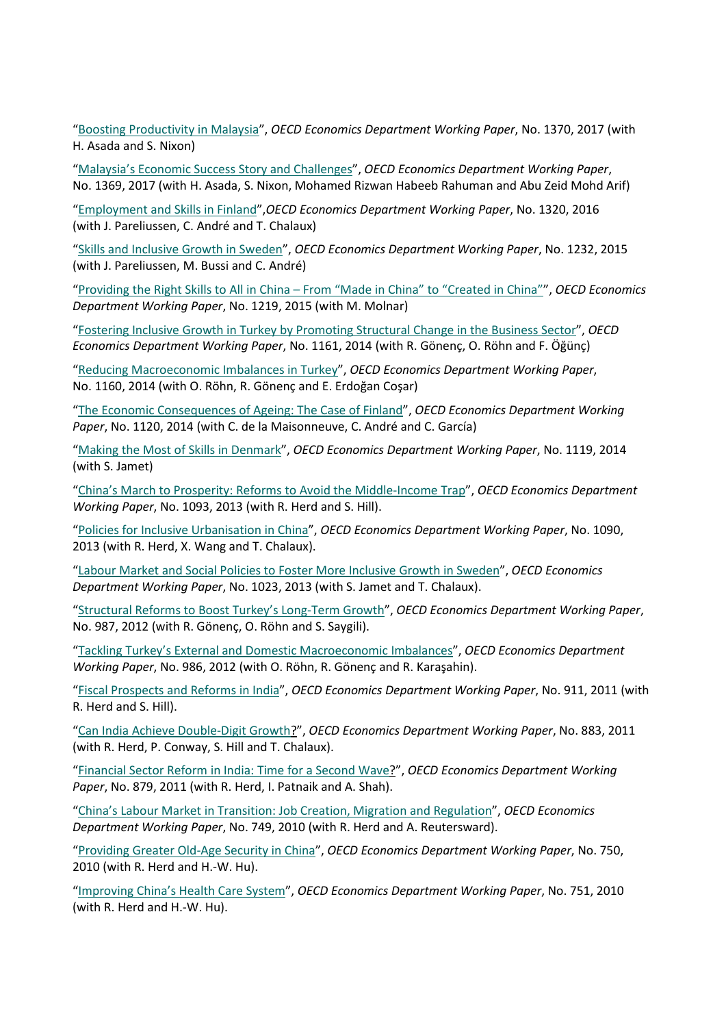["Boosting Productivity in Malaysia"](http://www.oecd.org/social/labour/Boosting-productivity-in-Malaysia.pdfhttp:/www.oecd.org/social/labour/Boosting-productivity-in-Malaysia.pdf), *OECD Economics Department Working Paper*, No. 1370, 2017 (with H. Asada and S. Nixon)

["Malaysia's Economic Success Story and Challenges"](http://www.oecd.org/economy/outlook/Malaysia-s-economic-success-story-and-challenges.pdf), *OECD Economics Department Working Paper*, No. 1369, 2017 (with H. Asada, S. Nixon, Mohamed Rizwan Habeeb Rahuman and Abu Zeid Mohd Arif)

["Employment and Skills in Finland"](http://www.oecd-ilibrary.org/employment-and-skills-in-finland_5jlv239kcq9r.pdf;jsessionid=8hl5jc7jss31.x-oecd-live-03?contentType=%2fns%2fWorkingPaper&itemId=%2fcontent%2fworkingpaper%2f5jlv239kcq9r-en&mimeType=application%2fpdf&containerItemId=%2fcontent%2fworkingpaperseries%2f18151973&accessItemIds=&option6=imprint&value6=http%3a%2f%2foecd.metastore.ingenta.com%2fcontent%2fimprint%2foecd),*OECD Economics Department Working Paper*, No. 1320, 2016 (with J. Pareliussen, C. André and T. Chalaux)

["Skills and Inclusive Growth in Sweden"](https://portal.oecd.org/eshare/eco/KCentre/KCcvs/Skills%20and%20Inclusive%20Growth%20in%20Sweden), *OECD Economics Department Working Paper*, No. 1232, 2015 (with J. Pareliussen, M. Bussi and C. André)

"Providing the Right Skills to All in China – [From "Made in China" to "Created in China""](http://www.oecd-ilibrary.org/docserver/download/5js1j18g4tlx.pdf?expires=1432914833&id=id&accname=guest&checksum=204D974D3E3054A0C593F53BEC8B8736), *OECD Economics Department Working Paper*, No. 1219, 2015 (with M. Molnar)

["Fostering Inclusive Growth in Turkey by Promoting Structural Change in the Business Sector"](http://www.oecd-ilibrary.org/docserver/download/5jxx0554v07c.pdf?expires=1411030341&id=id&accname=guest&checksum=5B4C02836022BBB49E8AF8CF54C47269), *OECD Economics Department Working Paper*, No. 1161, 2014 (with R. Gönenç, O. Röhn and F. Öğünç)

["Reducing Macroeconomic Imbalances in Turkey"](http://www.oecd-ilibrary.org/docserver/download/5jxx055pjf0x.pdf?expires=1411030407&id=id&accname=guest&checksum=A48CF3CF74B5A2B09631BD4C1A560A58), *OECD Economics Department Working Paper*, No. 1160, 2014 (with O. Röhn, R. Gönenç and E. Erdoğan Coşar)

["The Economic Consequences of Ageing: The Case of Finland"](http://www.oecd-ilibrary.org/docserver/download/5jz2qt1dtnlt.pdf?expires=1401966049&id=id&accname=guest&checksum=5567A3B475097BCE7E2E23B54650DD79), *OECD Economics Department Working Paper*, No. 1120, 2014 (with C. de la Maisonneuve, C. André and C. García)

["Making the Most of Skills in Denmark"](http://www.oecd-ilibrary.org/docserver/download/5jz2qt4crff8.pdf?expires=1401965922&id=id&accname=guest&checksum=9DD25A4A344D577B1FB186808501E295), *OECD Economics Department Working Paper*, No. 1119, 2014 (with S. Jamet)

["China's March to Prosperity: Reforms to Avoid the Middle-Income Trap"](http://www.oecd-ilibrary.org/docserver/download/5k3wd3c4219w.pdf?expires=1384527961&id=id&accname=guest&checksum=153AB159A4703D2A843579A8D293CA72), *OECD Economics Department Working Paper*, No. 1093, 2013 (with R. Herd and S. Hill).

["Policies for Inclusive Urbanisation in China"](http://www.oecd-ilibrary.org/docserver/download/5k3xz6hc2z0x.pdf?expires=1384528013&id=id&accname=guest&checksum=074E2F2201D515B002A41A08D7649CCF), *OECD Economics Department Working Paper*, No. 1090, 2013 (with R. Herd, X. Wang and T. Chalaux).

["Labour Market and Social Policies to Foster More Inclusive Growth in Sweden"](http://dx.doi.org/10.1787/5k4c0vtwpttj-en), *OECD Economics Department Working Paper*, No. 1023, 2013 (with S. Jamet and T. Chalaux).

["Structural Reforms to Boost Turkey's Long-Term Growth"](http://www.oecd-ilibrary.org/economics/structural-reforms-to-boost-turkey-s-long-term-growth_5k92smv7cnjl-en), *OECD Economics Department Working Paper*, No. 987, 2012 (with R. Gönenç, O. Röhn and S. Saygili).

["Tackling Turkey's External and Domestic Macroeconomic Imbalances"](http://www.oecd-ilibrary.org/economics/tackling-turkey-s-external-and-domestic-macroeconomic-imbalances_5k92smvqbb8v-en), *OECD Economics Department Working Paper*, No. 986, 2012 (with O. Röhn, R. Gönenç and R. Karaşahin).

["Fiscal Prospects and Reforms in India"](http://dx.doi.org/10.1787/5kg0szw747tf-en), *OECD Economics Department Working Paper*, No. 911, 2011 (with R. Herd and S. Hill).

["Can India Achieve Double-Digit Growth?](http://www.oecd-ilibrary.org/content/workingpaper/5kg84x28tn9x-en)", *OECD Economics Department Working Paper*, No. 883, 2011 (with R. Herd, P. Conway, S. Hill and T. Chalaux).

["Financial Sector Reform in India: Time for a Second Wave?](http://dx.doi.org/10.1787/5kg8ghvzr2jk-en)", *OECD Economics Department Working Paper*, No. 879, 2011 (with R. Herd, I. Patnaik and A. Shah).

"China's Labour Market [in Transition: Job Creation, Migration and Regulation"](http://www.oecd-ilibrary.org/economics/china-s-labour-market-in-transition_5kmlh5010gg7-en), *OECD Economics Department Working Paper*, No. 749, 2010 (with R. Herd and A. Reutersward).

["Providing Greater Old-Age Security in China"](http://www.oecd-ilibrary.org/economics/providing-greater-old-age-security-in-china_5kmlh4x7pc7k-en), *OECD Economics Department Working Paper*, No. 750, 2010 (with R. Herd and H.-W. Hu).

["Improving China's Health Care System"](http://www.oecd-ilibrary.org/economics/improving-china-s-health-care-system_5kmlh4v2fv31-en), *OECD Economics Department Working Paper*, No. 751, 2010 (with R. Herd and H.-W. Hu).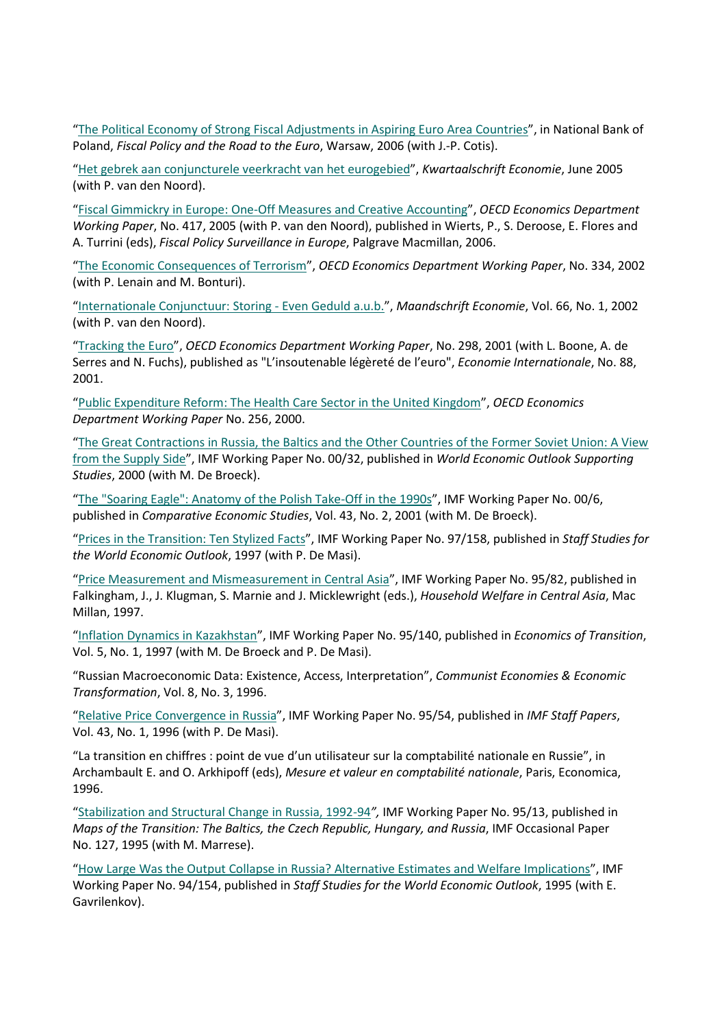["The Political Economy of Strong Fiscal Adjustments in Aspiring Euro Area](http://www.oecd.org/dataoecd/48/52/36001635.pdf) Countries", in National Bank of Poland, *Fiscal Policy and the Road to the Euro*, Warsaw, 2006 (with J.-P. Cotis).

["Het gebrek aan conjuncturele veerkracht van het eurogebied"](http://www.kwartaalschrifteconomie.be/download.aspx?c=.KWARTAALTIJDSCHRIFT&n=49192&ct=48896&e=117516), *Kwartaalschrift Economie*, June 2005 (with P. van den Noord).

["Fiscal Gimmickry in Europe: One-Off Measures and Creative Accounting"](http://www.oecd-ilibrary.org/economics/fiscal-gimmickry-in-europe_237714513517), *OECD Economics Department Working Paper*, No. 417, 2005 (with P. van den Noord), published in Wierts, P., S. Deroose, E. Flores and A. Turrini (eds), *Fiscal Policy Surveillance in Europe*, Palgrave Macmillan, 2006.

["The Economic Consequences of Terrorism"](http://www.oecd-ilibrary.org/economics/the-economic-consequences-of-terrorism_511778841283), *OECD Economics Department Working Paper*, No. 334, 2002 (with P. Lenain and M. Bonturi).

["Internationale Conjunctuur: Storing -](https://docserver.uvt.nl/me/2766452/2767.pdf) Even Geduld a.u.b.", *Maandschrift Economie*, Vol. 66, No. 1, 2002 (with P. van den Noord).

["Tracking the Euro"](http://www.oecd-ilibrary.org/economics/tracking-the-euro_536702025320), *OECD Economics Department Working Paper*, No. 298, 2001 (with L. Boone, A. de Serres and N. Fuchs), published as "L'insoutenable légèreté de l'euro", *Economie Internationale*, No. 88, 2001.

["Public Expenditure Reform: The Health Care Sector in the United Kingdom"](http://www.oecd-ilibrary.org/economics/public-expenditure-reform_207823881077), *OECD Economics Department Working Paper* No. 256, 2000.

"The Great [Contractions in Russia, the Baltics and the Other Countries of the Former Soviet Union: A View](http://www.oecd.orhttp/www.imf.org/external/pubs/ft/wp/2000/wp0032.pdf)  [from the Supply Side"](http://www.oecd.orhttp/www.imf.org/external/pubs/ft/wp/2000/wp0032.pdf), IMF Working Paper No. 00/32, published in *World Economic Outlook Supporting Studies*, 2000 (with M. De Broeck).

["The "Soaring Eagle": Anatomy of the Polish Take-Off in the 1990s"](http://www.imf.org/external/pubs/ft/wp/2000/wp0006.pdf), IMF Working Paper No. 00/6, published in *Comparative Economic Studies*, Vol. 43, No. 2, 2001 (with M. De Broeck).

["Prices in the Transition: Ten Stylized Facts"](http://www.imf.org/external/pubs/ft/wp/wp97158.pdf), IMF Working Paper No. 97/158, published in *Staff Studies for the World Economic Outlook*, 1997 (with P. De Masi).

["Price Measurement and Mismeasurement in Central Asia"](http://www.imf.org/external/pubs/cat/longres.cfm?sk=1336), IMF Working Paper No. 95/82, published in Falkingham, J., J. Klugman, S. Marnie and J. Micklewright (eds.), *Household Welfare in Central Asia*, Mac Millan, 1997.

["Inflation Dynamics in Kazakhstan"](http://www.imf.org/external/pubs/cat/longres.cfm?sk=1987), IMF Working Paper No. 95/140, published in *Economics of Transition*, Vol. 5, No. 1, 1997 (with M. De Broeck and P. De Masi).

"Russian Macroeconomic Data: Existence, Access, Interpretation", *Communist Economies & Economic Transformation*, Vol. 8, No. 3, 1996.

["Relative Price Convergence in Russia"](http://www.imf.org/external/pubs/cat/longres.cfm?sk=1877), IMF Working Paper No. 95/54, published in *IMF Staff Papers*, Vol. 43, No. 1, 1996 (with P. De Masi).

"La transition en chiffres : point de vue d'un utilisateur sur la comptabilité nationale en Russie", in Archambault E. and O. Arkhipoff (eds), *Mesure et valeur en comptabilité nationale*, Paris, Economica, 1996.

["Stabilization and Structural Change in Russia, 1992-94](https://www.imf.org/external/pubs/cat/longres.cfm?sk=1852)*",* IMF Working Paper No. 95/13, published in *Maps of the Transition: The Baltics, the Czech Republic, Hungary, and Russia*, IMF Occasional Paper No. 127, 1995 (with M. Marrese).

["How Large Was the Output Collapse in Russia? Alternative Estimates and Welfare Implications"](http://www.imf.org/external/pubs/cat/longres.cfm?sk=1115), IMF Working Paper No. 94/154, published in *Staff Studies for the World Economic Outlook*, 1995 (with E. Gavrilenkov).